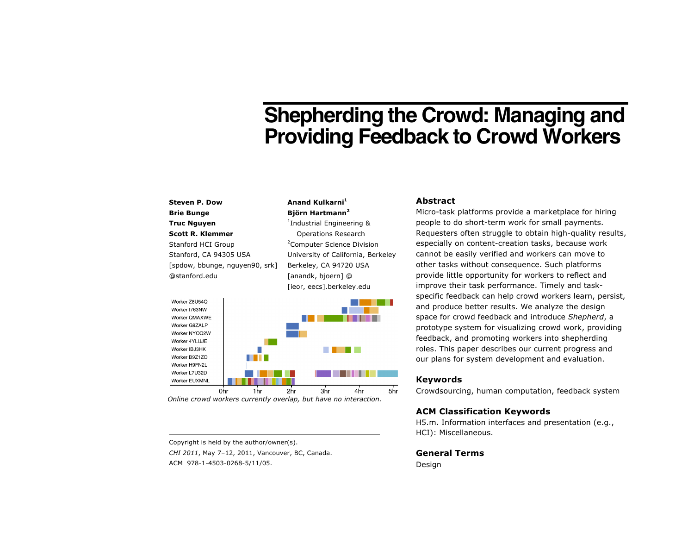# **Shepherding the Crowd: Managing and Providing Feedback to Crowd Workers**

# **Steven P. Dow Brie Bunge Truc Nguyen Scott R. Klemmer** Stanford HCI Group Stanford, CA 94305 USA [spdow, bbunge, nguyen90, srk] @stanford.edu

**Anand Kulkarni<sup>1</sup> Björn Hartmann<sup>2</sup>** 1 Industrial Engineering & Operations Research <sup>2</sup> Computer Science Division

University of California, Berkeley Berkeley, CA 94720 USA [anandk, bjoern] @ [ieor, eecs].berkeley.edu



*Online crowd workers currently overlap, but have no interaction.*

Copyright is held by the author/owner(s). *CHI 2011*, May 7–12, 2011, Vancouver, BC, Canada. ACM 978-1-4503-0268-5/11/05.

### **Abstract**

Micro-task platforms provide a marketplace for hiring people to do short-term work for small payments. Requesters often struggle to obtain high-quality results, especially on content-creation tasks, because work cannot be easily verified and workers can move to other tasks without consequence. Such platforms provide little opportunity for workers to reflect and improve their task performance. Timely and taskspecific feedback can help crowd workers learn, persist, and produce better results. We analyze the design space for crowd feedback and introduce *Shepherd*, a prototype system for visualizing crowd work, providing feedback, and promoting workers into shepherding roles. This paper describes our current progress and our plans for system development and evaluation.

# **Keywords**

Crowdsourcing, human computation, feedback system

# **ACM Classification Keywords**

H5.m. Information interfaces and presentation (e.g., HCI): Miscellaneous.

**General Terms** Design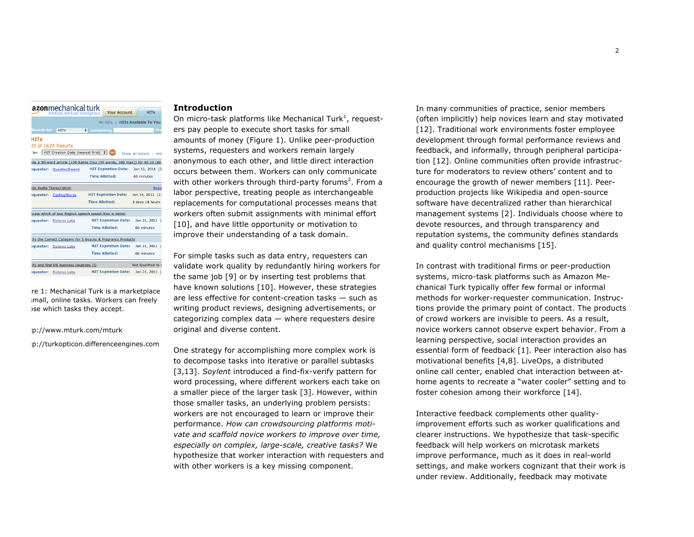| <b>azon</b> mechanical turk<br><b>Your Account</b><br><b>HITs</b><br><b>Artificial Artificial Intelligence</b> |                                        |                                                                            |                              |  |  |
|----------------------------------------------------------------------------------------------------------------|----------------------------------------|----------------------------------------------------------------------------|------------------------------|--|--|
|                                                                                                                |                                        | All HITs                                                                   | <b>HITs Available To You</b> |  |  |
| Search for                                                                                                     | <b>HITs</b>                            | <b>Containing</b>                                                          | tha                          |  |  |
| <b>HITs</b>                                                                                                    |                                        |                                                                            |                              |  |  |
|                                                                                                                | 20 of 1624 Results                     |                                                                            |                              |  |  |
| by:                                                                                                            | HIT Creation Date (newest first) : 60  |                                                                            | Show all details  <br>Hidi   |  |  |
|                                                                                                                |                                        | de a 50-word article (109-Santa Cruz (50 words, 100 max)) for \$0.12 (\$0. |                              |  |  |
| equester:                                                                                                      | QuestionSwami                          | <b>HIT Expiration Date:</b>                                                | Jan 15, 2011 (2)             |  |  |
|                                                                                                                |                                        | <b>Time Allotted:</b>                                                      | 60 minutes                   |  |  |
|                                                                                                                | de Audio Transcription                 |                                                                            | <b>Reque</b>                 |  |  |
|                                                                                                                | <b>:quester: CastingWords</b>          | <b>HIT Expiration Date:</b>                                                | Jan 14, 2011 (11             |  |  |
|                                                                                                                |                                        | <b>Time Allotted:</b>                                                      | 3 days 18 hours              |  |  |
|                                                                                                                |                                        | icate which of two English speech sound files is better                    |                              |  |  |
| :quester:                                                                                                      | <b>Dolores Labs</b>                    | <b>HIT Expiration Date:</b>                                                | Jan 21, 2011 (               |  |  |
|                                                                                                                |                                        | <b>Time Allotted:</b>                                                      | 60 minutes                   |  |  |
|                                                                                                                |                                        | ify the Correct Category for 5 Beauty & Fragrance Products                 |                              |  |  |
| :quester:                                                                                                      | <b>Dolores Labs</b>                    | <b>HIT Expiration Date:</b>                                                | Jan 21, 2011 (               |  |  |
|                                                                                                                |                                        | <b>Time Allotted:</b>                                                      | 60 minutes                   |  |  |
|                                                                                                                | ify and find US business locations (I) |                                                                            | Not Oualified to v           |  |  |
|                                                                                                                | equester: Dolores Labs                 | <b>HIT Expiration Date:</b>                                                | Jan 21, 2011 (               |  |  |

re 1: Mechanical Turk is a marketplace imall, online tasks. Workers can freely ise which tasks they accept.

#### :p://www.mturk.com/mturk

<sup>2</sup> http://turkopticon.differenceengines.com

#### **Introduction**

On micro-task platforms like Mechanical Turk<sup>1</sup>, requesters pay people to execute short tasks for small amounts of money (Figure 1). Unlike peer-production systems, requesters and workers remain largely anonymous to each other, and little direct interaction occurs between them. Workers can only communicate with other workers through third-party forums<sup>2</sup>. From a labor perspective, treating people as interchangeable replacements for computational processes means that workers often submit assignments with minimal effort [10], and have little opportunity or motivation to improve their understanding of a task domain.

For simple tasks such as data entry, requesters can validate work quality by redundantly hiring workers for the same job [9] or by inserting test problems that have known solutions [10]. However, these strategies are less effective for content-creation tasks — such as writing product reviews, designing advertisements, or categorizing complex data — where requesters desire original and diverse content.

One strategy for accomplishing more complex work is to decompose tasks into iterative or parallel subtasks [3,13]. *Soylent* introduced a find-fix-verify pattern for word processing, where different workers each take on a smaller piece of the larger task [3]. However, within those smaller tasks, an underlying problem persists: workers are not encouraged to learn or improve their performance. *How can crowdsourcing platforms motivate and scaffold novice workers to improve over time, especially on complex, large-scale, creative tasks?* We hypothesize that worker interaction with requesters and with other workers is a key missing component.

In many communities of practice, senior members (often implicitly) help novices learn and stay motivated [12]. Traditional work environments foster employee development through formal performance reviews and feedback, and informally, through peripheral participation [12]. Online communities often provide infrastructure for moderators to review others' content and to encourage the growth of newer members [11]. Peerproduction projects like Wikipedia and open-source software have decentralized rather than hierarchical management systems [2]. Individuals choose where to devote resources, and through transparency and reputation systems, the community defines standards and quality control mechanisms [15].

In contrast with traditional firms or peer-production systems, micro-task platforms such as Amazon Mechanical Turk typically offer few formal or informal methods for worker-requester communication. Instructions provide the primary point of contact. The products of crowd workers are invisible to peers. As a result, novice workers cannot observe expert behavior. From a learning perspective, social interaction provides an essential form of feedback [1]. Peer interaction also has motivational benefits [4,8]. LiveOps, a distributed online call center, enabled chat interaction between athome agents to recreate a "water cooler" setting and to foster cohesion among their workforce [14].

Interactive feedback complements other qualityimprovement efforts such as worker qualifications and clearer instructions. We hypothesize that task-specific feedback will help workers on microtask markets improve performance, much as it does in real-world settings, and make workers cognizant that their work is under review. Additionally, feedback may motivate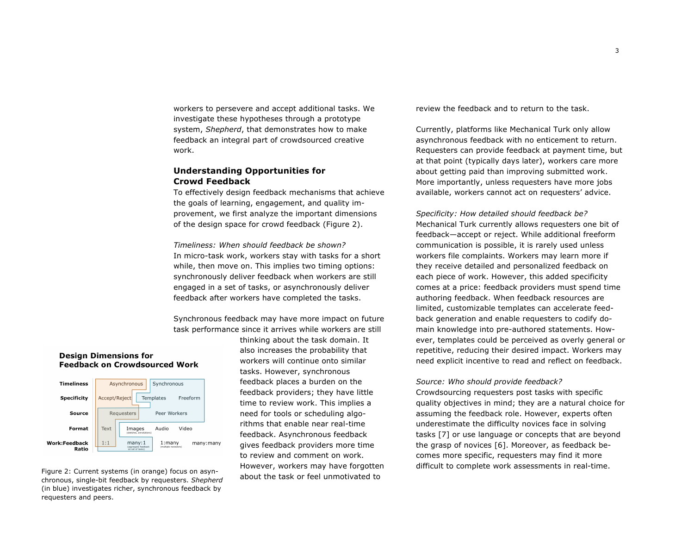workers to persevere and accept additional tasks. We investigate these hypotheses through a prototype system, *Shepherd*, that demonstrates how to make feedback an integral part of crowdsourced creative work.

## **Understanding Opportunities for Crowd Feedback**

To effectively design feedback mechanisms that achieve the goals of learning, engagement, and quality improvement, we first analyze the important dimensions of the design space for crowd feedback (Figure 2).

*Timeliness: When should feedback be shown?* In micro-task work, workers stay with tasks for a short while, then move on. This implies two timing options: synchronously deliver feedback when workers are still engaged in a set of tasks, or asynchronously deliver feedback after workers have completed the tasks.

Synchronous feedback may have more impact on future task performance since it arrives while workers are still

thinking about the task domain. It also increases the probability that workers will continue onto similar tasks. However, synchronous feedback places a burden on the feedback providers; they have little time to review work. This implies a need for tools or scheduling algorithms that enable near real-time feedback. Asynchronous feedback gives feedback providers more time to review and comment on work. However, workers may have forgotten about the task or feel unmotivated to difficult to complete work assessments in real-time. Figure 2: Current systems (in orange) focus on asyn-

review the feedback and to return to the task.

Currently, platforms like Mechanical Turk only allow asynchronous feedback with no enticement to return. Requesters can provide feedback at payment time, but at that point (typically days later), workers care more about getting paid than improving submitted work. More importantly, unless requesters have more jobs available, workers cannot act on requesters' advice.

*Specificity: How detailed should feedback be?* Mechanical Turk currently allows requesters one bit of feedback—accept or reject. While additional freeform communication is possible, it is rarely used unless workers file complaints. Workers may learn more if they receive detailed and personalized feedback on each piece of work. However, this added specificity comes at a price: feedback providers must spend time authoring feedback. When feedback resources are limited, customizable templates can accelerate feedback generation and enable requesters to codify domain knowledge into pre-authored statements. However, templates could be perceived as overly general or repetitive, reducing their desired impact. Workers may need explicit incentive to read and reflect on feedback.

#### *Source: Who should provide feedback?*

Crowdsourcing requesters post tasks with specific quality objectives in mind; they are a natural choice for assuming the feedback role. However, experts often underestimate the difficulty novices face in solving tasks [7] or use language or concepts that are beyond the grasp of novices [6]. Moreover, as feedback becomes more specific, requesters may find it more

#### **Design Dimensions for Feedback on Crowdsourced Work**

| <b>Timeliness</b>             |                                        | Asynchronous                                      | Synchronous                    |       |          |
|-------------------------------|----------------------------------------|---------------------------------------------------|--------------------------------|-------|----------|
| <b>Specificity</b>            | Accept/Reject<br>Templates<br>Freeform |                                                   |                                |       |          |
| Source                        |                                        | Requesters                                        | Peer Workers                   |       |          |
| Format                        | Text                                   | Images<br>(sketches, annotations)                 | Audio                          | Video |          |
| <b>Work:Feedback</b><br>Ratio | 1:1                                    | manv:1<br>(aggregate feedback<br>on set of tasks) | 1:manv<br>(multiple reviewers) |       | many:man |

chronous, single-bit feedback by requesters. *Shepherd* (in blue) investigates richer, synchronous feedback by requesters and peers.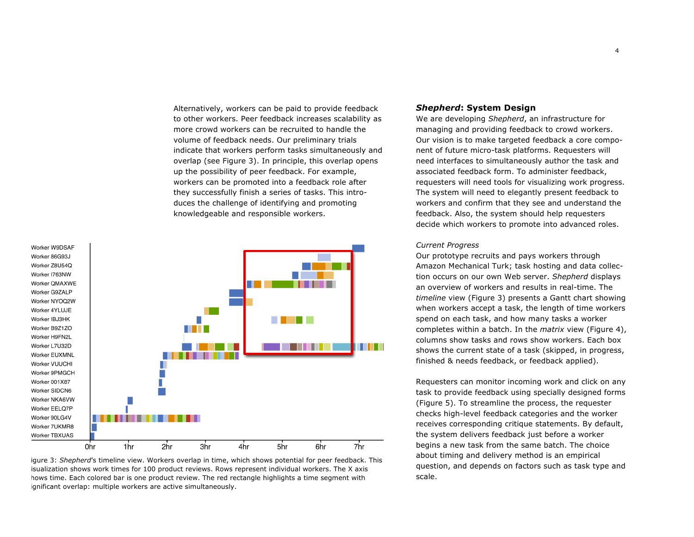Alternatively, workers can be paid to provide feedback to other workers. Peer feedback increases scalability as more crowd workers can be recruited to handle the volume of feedback needs. Our preliminary trials indicate that workers perform tasks simultaneously and overlap (see Figure 3). In principle, this overlap opens up the possibility of peer feedback. For example, workers can be promoted into a feedback role after they successfully finish a series of tasks. This introduces the challenge of identifying and promoting knowledgeable and responsible workers.



igure 3: *Shepherd's* timeline view. Workers overlap in time, which shows potential for peer feedback. This isualization shows work times for 100 product reviews. Rows represent individual workers. The X axis hows time. Each colored bar is one product review. The red rectangle highlights a time segment with ignificant overlap: multiple workers are active simultaneously.

## *Shepherd***: System Design**

We are developing *Shepherd*, an infrastructure for managing and providing feedback to crowd workers. Our vision is to make targeted feedback a core component of future micro-task platforms. Requesters will need interfaces to simultaneously author the task and associated feedback form. To administer feedback, requesters will need tools for visualizing work progress. The system will need to elegantly present feedback to workers and confirm that they see and understand the feedback. Also, the system should help requesters decide which workers to promote into advanced roles.

#### *Current Progress*

Our prototype recruits and pays workers through Amazon Mechanical Turk; task hosting and data collection occurs on our own Web server. *Shepherd* displays an overview of workers and results in real-time. The *timeline* view (Figure 3) presents a Gantt chart showing when workers accept a task, the length of time workers spend on each task, and how many tasks a worker completes within a batch. In the *matrix* view (Figure 4), columns show tasks and rows show workers. Each box shows the current state of a task (skipped, in progress, finished & needs feedback, or feedback applied).

Requesters can monitor incoming work and click on any task to provide feedback using specially designed forms (Figure 5). To streamline the process, the requester checks high-level feedback categories and the worker receives corresponding critique statements. By default, the system delivers feedback just before a worker begins a new task from the same batch. The choice about timing and delivery method is an empirical question, and depends on factors such as task type and scale.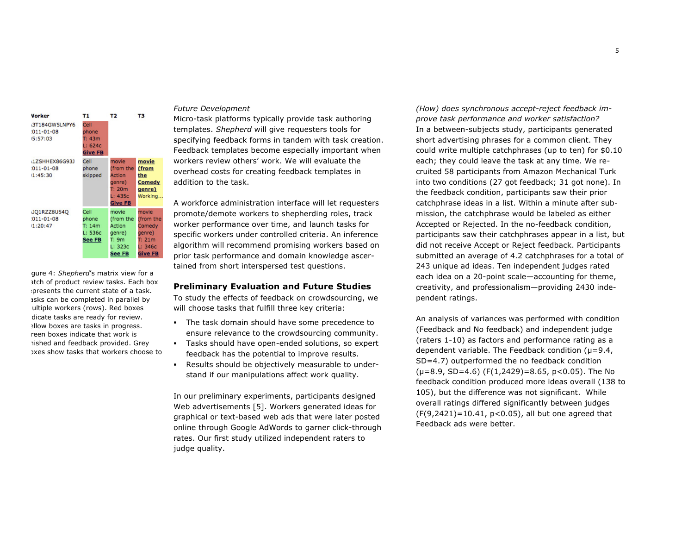| Vorker<br>3T184GW5LNPY6<br>$011 - 01 - 08$<br>5:57:03 | т1<br>Cell<br>phone<br>T: 43m<br>L: 624c<br><b>Give FB</b> | T <sub>2</sub>                                                                | тз                                                                            |
|-------------------------------------------------------|------------------------------------------------------------|-------------------------------------------------------------------------------|-------------------------------------------------------------------------------|
| 1ZSHHEX86G93J<br>$011 - 01 - 08$<br>1:45:30           | Cell<br>phone<br>skipped                                   | movie<br>(from the<br>Action<br>genre)<br>T: 20m<br>L: 435c<br><b>Give FB</b> | movie<br>(from<br>the<br>Comedy<br>genre)<br>Working                          |
| JO1RZZ8U540<br>$011 - 01 - 08$<br>1:20:47             | Cell<br>phone<br>T: 14m<br>L: 536c<br>See FB               | movie<br>(from the<br>Action<br>genre)<br>T: 9m<br>L: 323c<br>See FB          | movie<br>(from the<br>Comedy<br>genre)<br>T: 21m<br>L: 346c<br><b>Give FB</b> |

gure 4: *Shepherd's* matrix view for a atch of product review tasks. Each box presents the current state of a task. asks can be completed in parallel by ultiple workers (rows). Red boxes dicate tasks are ready for review. allow boxes are tasks in progress. reen boxes indicate that work is hished and feedback provided. Grey boxes show tasks that workers choose to

# *Future Development*

Micro-task platforms typically provide task authoring templates. *Shepherd* will give requesters tools for specifying feedback forms in tandem with task creation. Feedback templates become especially important when workers review others' work. We will evaluate the overhead costs for creating feedback templates in addition to the task.

A workforce administration interface will let requesters promote/demote workers to shepherding roles, track worker performance over time, and launch tasks for specific workers under controlled criteria. An inference algorithm will recommend promising workers based on prior task performance and domain knowledge ascertained from short interspersed test questions.

#### **Preliminary Evaluation and Future Studies**

To study the effects of feedback on crowdsourcing, we will choose tasks that fulfill three key criteria:

- The task domain should have some precedence to ensure relevance to the crowdsourcing community.
- Tasks should have open-ended solutions, so expert feedback has the potential to improve results.
- Results should be objectively measurable to understand if our manipulations affect work quality.

In our preliminary experiments, participants designed Web advertisements [5]. Workers generated ideas for graphical or text-based web ads that were later posted online through Google AdWords to garner click-through rates. Our first study utilized independent raters to judge quality.

*(How) does synchronous accept-reject feedback improve task performance and worker satisfaction?* In a between-subjects study, participants generated short advertising phrases for a common client. They could write multiple catchphrases (up to ten) for \$0.10 each; they could leave the task at any time. We recruited 58 participants from Amazon Mechanical Turk into two conditions (27 got feedback; 31 got none). In the feedback condition, participants saw their prior catchphrase ideas in a list. Within a minute after submission, the catchphrase would be labeled as either Accepted or Rejected. In the no-feedback condition, participants saw their catchphrases appear in a list, but did not receive Accept or Reject feedback. Participants submitted an average of 4.2 catchphrases for a total of 243 unique ad ideas. Ten independent judges rated each idea on a 20-point scale—accounting for theme, creativity, and professionalism—providing 2430 independent ratings.

An analysis of variances was performed with condition (Feedback and No feedback) and independent judge (raters 1-10) as factors and performance rating as a dependent variable. The Feedback condition ( $\mu$ =9.4, SD=4.7) outperformed the no feedback condition  $(\mu=8.9, SD=4.6)$  (F(1,2429)=8.65, p<0.05). The No feedback condition produced more ideas overall (138 to 105), but the difference was not significant. While overall ratings differed significantly between judges (F(9,2421)=10.41, p<0.05), all but one agreed that Feedback ads were better.